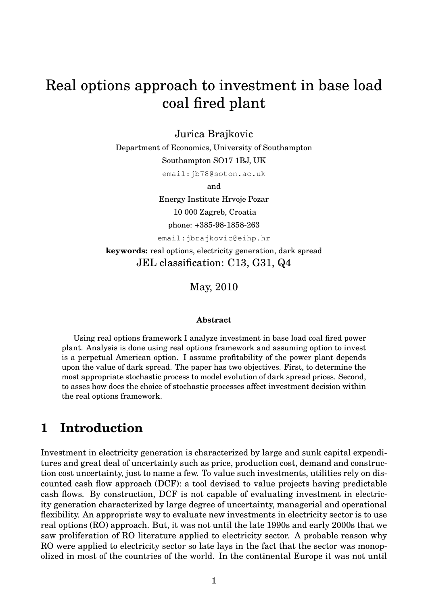# Real options approach to investment in base load coal fired plant

## Jurica Brajkovic

Department of Economics, University of Southampton Southampton SO17 1BJ, UK

email:jb78@soton.ac.uk

and

Energy Institute Hrvoje Pozar 10 000 Zagreb, Croatia phone: +385-98-1858-263

email:jbrajkovic@eihp.hr

**keywords:** real options, electricity generation, dark spread JEL classification: C13, G31, Q4

May, 2010

#### **Abstract**

Using real options framework I analyze investment in base load coal fired power plant. Analysis is done using real options framework and assuming option to invest is a perpetual American option. I assume profitability of the power plant depends upon the value of dark spread. The paper has two objectives. First, to determine the most appropriate stochastic process to model evolution of dark spread prices. Second, to asses how does the choice of stochastic processes affect investment decision within the real options framework.

# **1 Introduction**

Investment in electricity generation is characterized by large and sunk capital expenditures and great deal of uncertainty such as price, production cost, demand and construction cost uncertainty, just to name a few. To value such investments, utilities rely on discounted cash flow approach (DCF): a tool devised to value projects having predictable cash flows. By construction, DCF is not capable of evaluating investment in electricity generation characterized by large degree of uncertainty, managerial and operational flexibility. An appropriate way to evaluate new investments in electricity sector is to use real options (RO) approach. But, it was not until the late 1990s and early 2000s that we saw proliferation of RO literature applied to electricity sector. A probable reason why RO were applied to electricity sector so late lays in the fact that the sector was monopolized in most of the countries of the world. In the continental Europe it was not until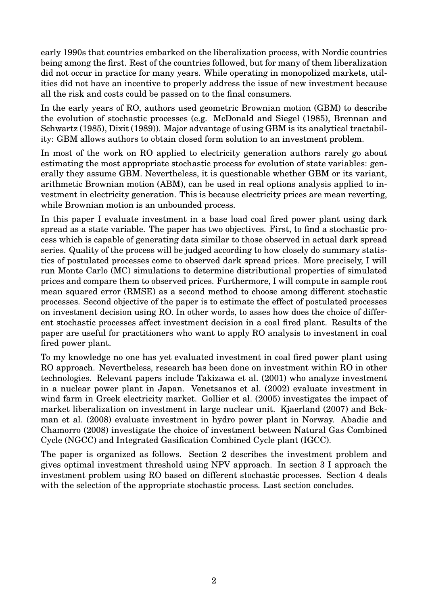early 1990s that countries embarked on the liberalization process, with Nordic countries being among the first. Rest of the countries followed, but for many of them liberalization did not occur in practice for many years. While operating in monopolized markets, utilities did not have an incentive to properly address the issue of new investment because all the risk and costs could be passed on to the final consumers.

In the early years of RO, authors used geometric Brownian motion (GBM) to describe the evolution of stochastic processes (e.g. [McDonald and Siegel](#page-36-0) [\(1985\)](#page-36-0), [Brennan and](#page-35-0) [Schwartz](#page-35-0) [\(1985\)](#page-35-0), [Dixit](#page-35-1) [\(1989\)](#page-35-1)). Major advantage of using GBM is its analytical tractability: GBM allows authors to obtain closed form solution to an investment problem.

In most of the work on RO applied to electricity generation authors rarely go about estimating the most appropriate stochastic process for evolution of state variables: generally they assume GBM. Nevertheless, it is questionable whether GBM or its variant, arithmetic Brownian motion (ABM), can be used in real options analysis applied to investment in electricity generation. This is because electricity prices are mean reverting, while Brownian motion is an unbounded process.

In this paper I evaluate investment in a base load coal fired power plant using dark spread as a state variable. The paper has two objectives. First, to find a stochastic process which is capable of generating data similar to those observed in actual dark spread series. Quality of the process will be judged according to how closely do summary statistics of postulated processes come to observed dark spread prices. More precisely, I will run Monte Carlo (MC) simulations to determine distributional properties of simulated prices and compare them to observed prices. Furthermore, I will compute in sample root mean squared error (RMSE) as a second method to choose among different stochastic processes. Second objective of the paper is to estimate the effect of postulated processes on investment decision using RO. In other words, to asses how does the choice of different stochastic processes affect investment decision in a coal fired plant. Results of the paper are useful for practitioners who want to apply RO analysis to investment in coal fired power plant.

To my knowledge no one has yet evaluated investment in coal fired power plant using RO approach. Nevertheless, research has been done on investment within RO in other technologies. Relevant papers include [Takizawa et al.](#page-36-1) [\(2001\)](#page-36-1) who analyze investment in a nuclear power plant in Japan. [Venetsanos et al.](#page-36-2) [\(2002\)](#page-36-2) evaluate investment in wind farm in Greek electricity market. [Gollier et al.](#page-35-2) [\(2005\)](#page-35-2) investigates the impact of market liberalization on investment in large nuclear unit. [Kjaerland](#page-36-3) [\(2007\)](#page-36-3) and [Bck](#page-35-3)[man et al.](#page-35-3) [\(2008\)](#page-35-3) evaluate investment in hydro power plant in Norway. [Abadie and](#page-35-4) [Chamorro](#page-35-4) [\(2008\)](#page-35-4) investigate the choice of investment between Natural Gas Combined Cycle (NGCC) and Integrated Gasification Combined Cycle plant (IGCC).

The paper is organized as follows. Section [2](#page-2-0) describes the investment problem and gives optimal investment threshold using NPV approach. In section [3](#page-6-0) I approach the investment problem using RO based on different stochastic processes. Section [4](#page-24-0) deals with the selection of the appropriate stochastic process. Last section concludes.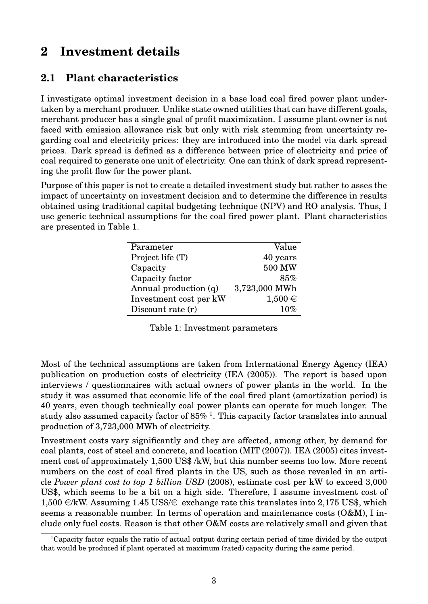# <span id="page-2-0"></span>**2 Investment details**

## **2.1 Plant characteristics**

I investigate optimal investment decision in a base load coal fired power plant undertaken by a merchant producer. Unlike state owned utilities that can have different goals, merchant producer has a single goal of profit maximization. I assume plant owner is not faced with emission allowance risk but only with risk stemming from uncertainty regarding coal and electricity prices: they are introduced into the model via dark spread prices. Dark spread is defined as a difference between price of electricity and price of coal required to generate one unit of electricity. One can think of dark spread representing the profit flow for the power plant.

<span id="page-2-1"></span>Purpose of this paper is not to create a detailed investment study but rather to asses the impact of uncertainty on investment decision and to determine the difference in results obtained using traditional capital budgeting technique (NPV) and RO analysis. Thus, I use generic technical assumptions for the coal fired power plant. Plant characteristics are presented in Table [1.](#page-2-1)

| Parameter              | Value         |
|------------------------|---------------|
| Project life (T)       | 40 years      |
| Capacity               | 500 MW        |
| Capacity factor        | 85%           |
| Annual production (q)  | 3,723,000 MWh |
| Investment cost per kW | $1,500 \in$   |
| Discount rate (r)      | 10%           |

|  |  |  | Table 1: Investment parameters |
|--|--|--|--------------------------------|
|--|--|--|--------------------------------|

Most of the technical assumptions are taken from International Energy Agency (IEA) publication on production costs of electricity [\(IEA](#page-36-4) [\(2005\)](#page-36-4)). The report is based upon interviews / questionnaires with actual owners of power plants in the world. In the study it was assumed that economic life of the coal fired plant (amortization period) is 40 years, even though technically coal power plants can operate for much longer. The study also assumed capacity factor of 85%  $^1$  $^1$ . This capacity factor translates into annual production of 3,723,000 MWh of electricity.

Investment costs vary significantly and they are affected, among other, by demand for coal plants, cost of steel and concrete, and location [\(MIT](#page-36-5) [\(2007\)](#page-36-5)). [IEA](#page-36-4) [\(2005\)](#page-36-4) cites investment cost of approximately 1,500 US\$ /kW, but this number seems too low. More recent numbers on the cost of coal fired plants in the US, such as those revealed in an article *[Power plant cost to top 1 billion USD](#page-36-6)* [\(2008\)](#page-36-6), estimate cost per kW to exceed 3,000 US\$, which seems to be a bit on a high side. Therefore, I assume investment cost of  $1,500 \in K$ W. Assuming 1.45 US\$/ $\in$  exchange rate this translates into 2,175 US\$, which seems a reasonable number. In terms of operation and maintenance costs (O&M), I include only fuel costs. Reason is that other O&M costs are relatively small and given that

<span id="page-2-2"></span><sup>&</sup>lt;sup>1</sup>Capacity factor equals the ratio of actual output during certain period of time divided by the output that would be produced if plant operated at maximum (rated) capacity during the same period.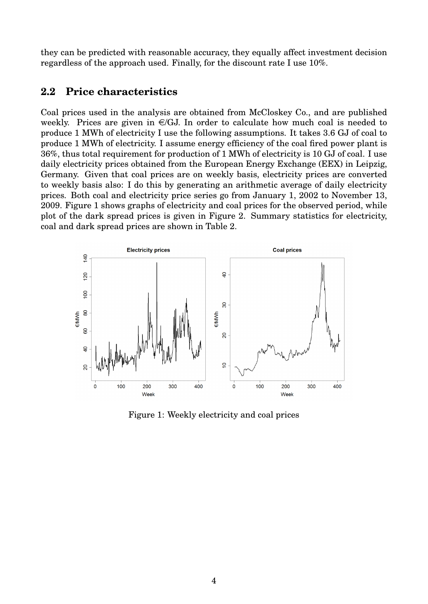they can be predicted with reasonable accuracy, they equally affect investment decision regardless of the approach used. Finally, for the discount rate I use 10%.

## **2.2 Price characteristics**

Coal prices used in the analysis are obtained from McCloskey Co., and are published weekly. Prices are given in  $\epsilon/GJ$ . In order to calculate how much coal is needed to produce 1 MWh of electricity I use the following assumptions. It takes 3.6 GJ of coal to produce 1 MWh of electricity. I assume energy efficiency of the coal fired power plant is 36%, thus total requirement for production of 1 MWh of electricity is 10 GJ of coal. I use daily electricity prices obtained from the European Energy Exchange (EEX) in Leipzig, Germany. Given that coal prices are on weekly basis, electricity prices are converted to weekly basis also: I do this by generating an arithmetic average of daily electricity prices. Both coal and electricity price series go from January 1, 2002 to November 13, 2009. Figure [1](#page-3-0) shows graphs of electricity and coal prices for the observed period, while plot of the dark spread prices is given in Figure [2.](#page-4-0) Summary statistics for electricity, coal and dark spread prices are shown in Table [2.](#page-4-1)

<span id="page-3-0"></span>

Figure 1: Weekly electricity and coal prices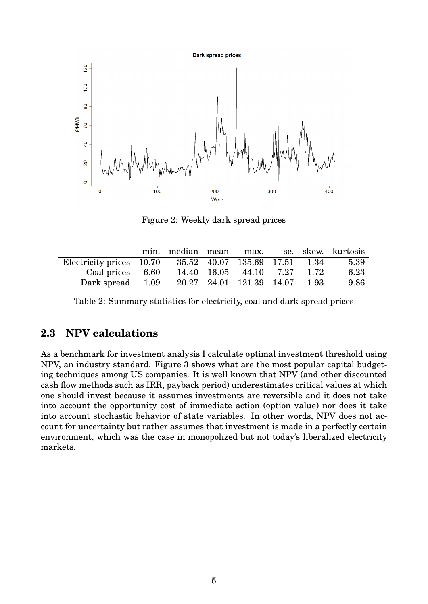<span id="page-4-0"></span>

Figure 2: Weekly dark spread prices

<span id="page-4-1"></span>

|                                                        |  |                          |      | min. median mean max. se. skew. kurtosis |
|--------------------------------------------------------|--|--------------------------|------|------------------------------------------|
| Electricity prices 10.70 35.52 40.07 135.69 17.51 1.34 |  |                          |      | 5.39                                     |
| Coal prices 6.60                                       |  | 14.40 16.05 44.10 7.27   | 1.72 | 6.23                                     |
| Dark spread 1.09                                       |  | 20.27 24.01 121.39 14.07 | 1.93 | 9.86                                     |

Table 2: Summary statistics for electricity, coal and dark spread prices

## **2.3 NPV calculations**

As a benchmark for investment analysis I calculate optimal investment threshold using NPV, an industry standard. Figure [3](#page-5-0) shows what are the most popular capital budgeting techniques among US companies. It is well known that NPV (and other discounted cash flow methods such as IRR, payback period) underestimates critical values at which one should invest because it assumes investments are reversible and it does not take into account the opportunity cost of immediate action (option value) nor does it take into account stochastic behavior of state variables. In other words, NPV does not account for uncertainty but rather assumes that investment is made in a perfectly certain environment, which was the case in monopolized but not today's liberalized electricity markets.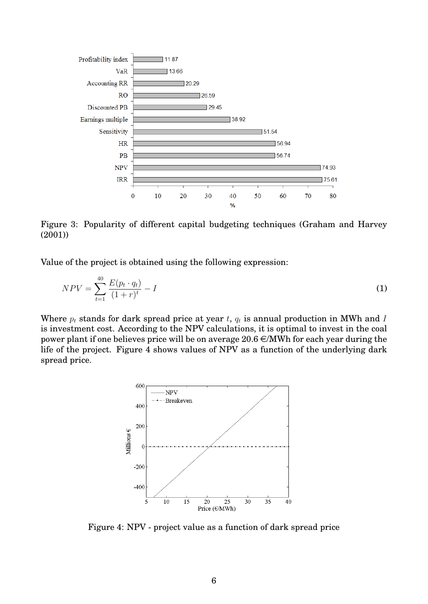<span id="page-5-0"></span>

Figure 3: Popularity of different capital budgeting techniques [\(Graham and Harvey](#page-35-5) [\(2001\)](#page-35-5))

Value of the project is obtained using the following expression:

$$
NPV = \sum_{t=1}^{40} \frac{E(p_t \cdot q_t)}{(1+r)^t} - I \tag{1}
$$

<span id="page-5-1"></span>Where  $p_t$  stands for dark spread price at year t,  $q_t$  is annual production in MWh and I is investment cost. According to the NPV calculations, it is optimal to invest in the coal power plant if one believes price will be on average  $20.6 \in \text{MWh}$  for each year during the life of the project. Figure [4](#page-5-1) shows values of NPV as a function of the underlying dark spread price.



Figure 4: NPV - project value as a function of dark spread price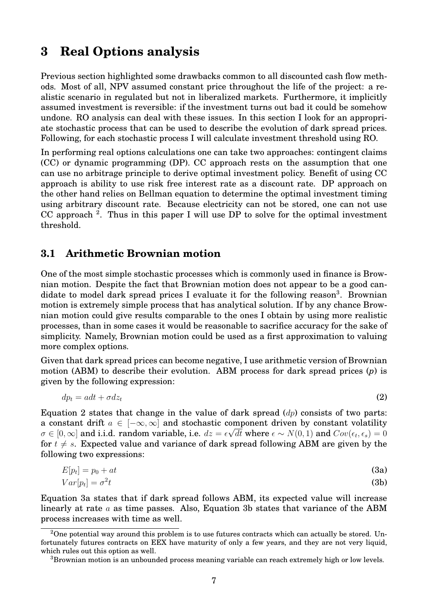# <span id="page-6-0"></span>**3 Real Options analysis**

Previous section highlighted some drawbacks common to all discounted cash flow methods. Most of all, NPV assumed constant price throughout the life of the project: a realistic scenario in regulated but not in liberalized markets. Furthermore, it implicitly assumed investment is reversible: if the investment turns out bad it could be somehow undone. RO analysis can deal with these issues. In this section I look for an appropriate stochastic process that can be used to describe the evolution of dark spread prices. Following, for each stochastic process I will calculate investment threshold using RO.

In performing real options calculations one can take two approaches: contingent claims (CC) or dynamic programming (DP). CC approach rests on the assumption that one can use no arbitrage principle to derive optimal investment policy. Benefit of using CC approach is ability to use risk free interest rate as a discount rate. DP approach on the other hand relies on Bellman equation to determine the optimal investment timing using arbitrary discount rate. Because electricity can not be stored, one can not use CC approach  $2$ . Thus in this paper I will use DP to solve for the optimal investment threshold.

### <span id="page-6-6"></span>**3.1 Arithmetic Brownian motion**

One of the most simple stochastic processes which is commonly used in finance is Brownian motion. Despite the fact that Brownian motion does not appear to be a good can-didate to model dark spread prices I evaluate it for the following reason<sup>[3](#page-6-2)</sup>. Brownian motion is extremely simple process that has analytical solution. If by any chance Brownian motion could give results comparable to the ones I obtain by using more realistic processes, than in some cases it would be reasonable to sacrifice accuracy for the sake of simplicity. Namely, Brownian motion could be used as a first approximation to valuing more complex options.

Given that dark spread prices can become negative, I use arithmetic version of Brownian motion (ABM) to describe their evolution. ABM process for dark spread prices (*p*) is given by the following expression:

<span id="page-6-3"></span>
$$
dp_t = a dt + \sigma dz_t \tag{2}
$$

Equation [2](#page-6-3) states that change in the value of dark spread  $(dp)$  consists of two parts: a constant drift  $a \in [-\infty, \infty]$  and stochastic component driven by constant volatility  $\sigma\in[0,\infty]$  and i.i.d. random variable, i.e.  $dz=\epsilon\sqrt{dt}$  where  $\epsilon\sim N(0,1)$  and  $Cov(\epsilon_t,\epsilon_s)=0$ for  $t \neq s$ . Expected value and variance of dark spread following ABM are given by the following two expressions:

<span id="page-6-4"></span>
$$
E[p_t] = p_0 + at \tag{3a}
$$

<span id="page-6-5"></span>
$$
Var[p_t] = \sigma^2 t \tag{3b}
$$

Equation [3a](#page-6-4) states that if dark spread follows ABM, its expected value will increase linearly at rate a as time passes. Also, Equation [3b](#page-6-5) states that variance of the ABM process increases with time as well.

<span id="page-6-1"></span><sup>&</sup>lt;sup>2</sup>One potential way around this problem is to use futures contracts which can actually be stored. Unfortunately futures contracts on EEX have maturity of only a few years, and they are not very liquid, which rules out this option as well.

<span id="page-6-2"></span><sup>&</sup>lt;sup>3</sup>Brownian motion is an unbounded process meaning variable can reach extremely high or low levels.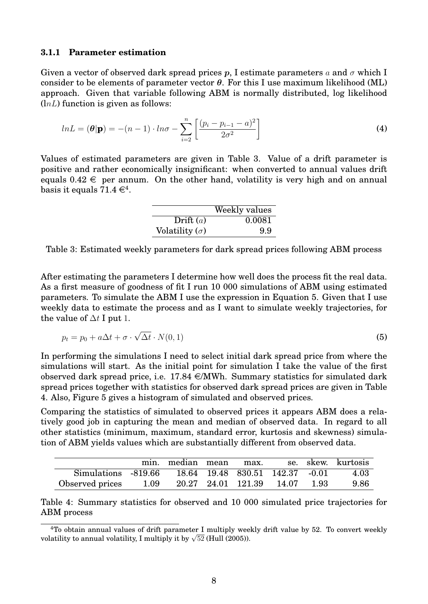#### **3.1.1 Parameter estimation**

Given a vector of observed dark spread prices p, I estimate parameters a and  $\sigma$  which I consider to be elements of parameter vector  $\theta$ . For this I use maximum likelihood (ML) approach. Given that variable following ABM is normally distributed, log likelihood  $(lnL)$  function is given as follows:

$$
ln L = (\theta | \mathbf{p}) = -(n-1) \cdot ln \sigma - \sum_{i=2}^{n} \left[ \frac{(p_i - p_{i-1} - a)^2}{2\sigma^2} \right]
$$
 (4)

<span id="page-7-0"></span>Values of estimated parameters are given in Table [3.](#page-7-0) Value of a drift parameter is positive and rather economically insignificant: when converted to annual values drift equals  $0.42 \in$  per annum. On the other hand, volatility is very high and on annual basis it equals 71.[4](#page-7-1)  $\in^4$ .

|                       | Weekly values |
|-----------------------|---------------|
| Drift $(a)$           | 0.0081        |
| Volatility $(\sigma)$ | 99            |

Table 3: Estimated weekly parameters for dark spread prices following ABM process

After estimating the parameters I determine how well does the process fit the real data. As a first measure of goodness of fit I run 10 000 simulations of ABM using estimated parameters. To simulate the ABM I use the expression in Equation [5.](#page-7-2) Given that I use weekly data to estimate the process and as I want to simulate weekly trajectories, for the value of  $\Delta t$  I put 1.

<span id="page-7-2"></span>
$$
p_t = p_0 + a\Delta t + \sigma \cdot \sqrt{\Delta t} \cdot N(0, 1)
$$
\n(5)

In performing the simulations I need to select initial dark spread price from where the simulations will start. As the initial point for simulation I take the value of the first observed dark spread price, i.e.  $17.84 \in \text{MWh}$ . Summary statistics for simulated dark spread prices together with statistics for observed dark spread prices are given in Table [4.](#page-7-3) Also, Figure [5](#page-8-0) gives a histogram of simulated and observed prices.

Comparing the statistics of simulated to observed prices it appears ABM does a relatively good job in capturing the mean and median of observed data. In regard to all other statistics (minimum, maximum, standard error, kurtosis and skewness) simulation of ABM yields values which are substantially different from observed data.

<span id="page-7-3"></span>

|                                                     |      | min. median mean max. |                               |  | se. skew. kurtosis |
|-----------------------------------------------------|------|-----------------------|-------------------------------|--|--------------------|
| Simulations -819.66 18.64 19.48 830.51 142.37 -0.01 |      |                       |                               |  | 4.03               |
| Observed prices                                     | 1.09 |                       | 20.27 24.01 121.39 14.07 1.93 |  | 9.86               |

Table 4: Summary statistics for observed and 10 000 simulated price trajectories for ABM process

<span id="page-7-1"></span><sup>4</sup>To obtain annual values of drift parameter I multiply weekly drift value by 52. To convert weekly  $\sim$  10 obtain annual values of drift parameter 1 multiply wee<br>volatility to annual volatility, I multiply it by  $\sqrt{52}$  [\(Hull](#page-36-7) [\(2005\)](#page-36-7)).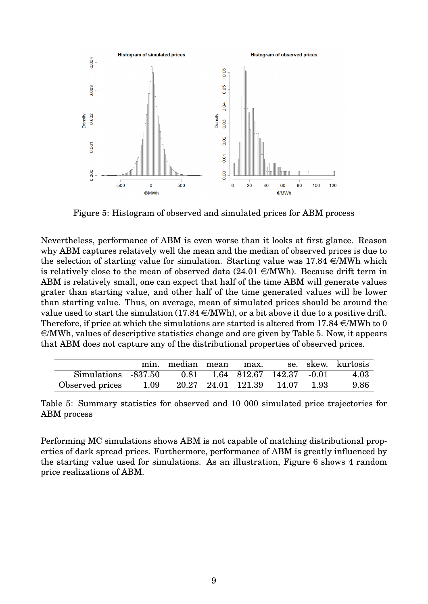<span id="page-8-0"></span>

Figure 5: Histogram of observed and simulated prices for ABM process

Nevertheless, performance of ABM is even worse than it looks at first glance. Reason why ABM captures relatively well the mean and the median of observed prices is due to the selection of starting value for simulation. Starting value was  $17.84 \in MWh$  which is relatively close to the mean of observed data  $(24.01 \in \text{MWh})$ . Because drift term in ABM is relatively small, one can expect that half of the time ABM will generate values grater than starting value, and other half of the time generated values will be lower than starting value. Thus, on average, mean of simulated prices should be around the value used to start the simulation (17.84  $\in$ /MWh), or a bit above it due to a positive drift. Therefore, if price at which the simulations are started is altered from  $17.84 \in \text{MWh}$  to 0  $\epsilon$ /MWh, values of descriptive statistics change and are given by Table [5.](#page-8-1) Now, it appears that ABM does not capture any of the distributional properties of observed prices.

<span id="page-8-1"></span>

|                                                        |      | min. median mean max. |                               |  | se. skew. kurtosis |
|--------------------------------------------------------|------|-----------------------|-------------------------------|--|--------------------|
| Simulations -837.50  0.81  1.64  812.67  142.37  -0.01 |      |                       |                               |  | 4.03               |
| Observed prices                                        | 1.09 |                       | 20.27 24.01 121.39 14.07 1.93 |  | 9.86               |

Table 5: Summary statistics for observed and 10 000 simulated price trajectories for ABM process

Performing MC simulations shows ABM is not capable of matching distributional properties of dark spread prices. Furthermore, performance of ABM is greatly influenced by the starting value used for simulations. As an illustration, Figure [6](#page-9-0) shows 4 random price realizations of ABM.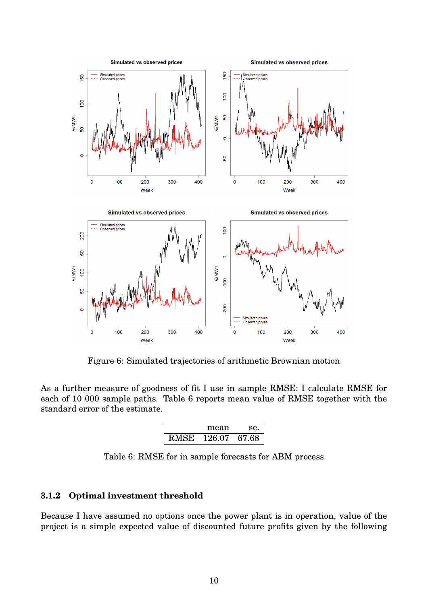<span id="page-9-0"></span>

Figure 6: Simulated trajectories of arithmetic Brownian motion

<span id="page-9-1"></span>As a further measure of goodness of fit I use in sample RMSE: I calculate RMSE for each of 10 000 sample paths. Table [6](#page-9-1) reports mean value of RMSE together with the standard error of the estimate.

| mean              | Se. |
|-------------------|-----|
| RMSE 126.07 67.68 |     |

Table 6: RMSE for in sample forecasts for ABM process

#### **3.1.2 Optimal investment threshold**

Because I have assumed no options once the power plant is in operation, value of the project is a simple expected value of discounted future profits given by the following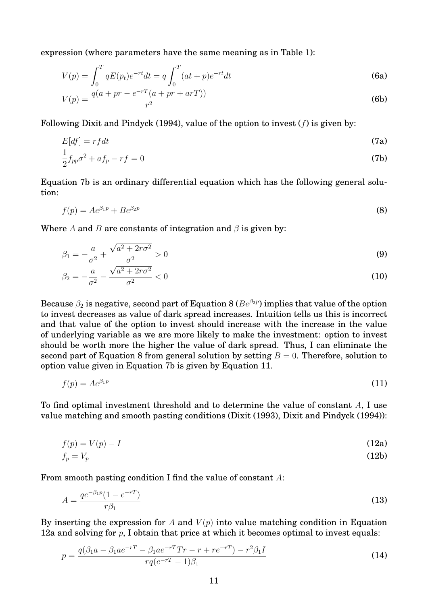expression (where parameters have the same meaning as in Table [1\)](#page-2-1):

$$
V(p) = \int_0^T qE(p_t)e^{-rt}dt = q\int_0^T (at+p)e^{-rt}dt
$$
\n(6a)

$$
V(p) = \frac{q(a+pr - e^{-rT}(a+pr + arT))}{r^2}
$$
 (6b)

Following [Dixit and Pindyck](#page-35-6) [\(1994\)](#page-35-6), value of the option to invest  $(f)$  is given by:

$$
E[df] = rfdt \tag{7a}
$$

<span id="page-10-0"></span>
$$
\frac{1}{2}f_{pp}\sigma^2 + af_p - rf = 0
$$
\n(7b)

Equation [7b](#page-10-0) is an ordinary differential equation which has the following general solution:

<span id="page-10-1"></span>
$$
f(p) = Ae^{\beta_1 p} + Be^{\beta_2 p} \tag{8}
$$

Where A and B are constants of integration and  $\beta$  is given by:

$$
\beta_1 = -\frac{a}{\sigma^2} + \frac{\sqrt{a^2 + 2r\sigma^2}}{\sigma^2} > 0
$$
\n(9)

$$
\beta_2 = -\frac{a}{\sigma^2} - \frac{\sqrt{a^2 + 2r\sigma^2}}{\sigma^2} < 0 \tag{10}
$$

Because  $\beta_2$  is negative, second part of Equation [8](#page-10-1) ( $Be^{\beta_2 p}$ ) implies that value of the option to invest decreases as value of dark spread increases. Intuition tells us this is incorrect and that value of the option to invest should increase with the increase in the value of underlying variable as we are more likely to make the investment: option to invest should be worth more the higher the value of dark spread. Thus, I can eliminate the second part of Equation [8](#page-10-1) from general solution by setting  $B = 0$ . Therefore, solution to option value given in Equation [7b](#page-10-0) is given by Equation [11.](#page-10-2)

<span id="page-10-2"></span>
$$
f(p) = Ae^{\beta_1 p} \tag{11}
$$

To find optimal investment threshold and to determine the value of constant A, I use value matching and smooth pasting conditions [\(Dixit](#page-35-7) [\(1993\)](#page-35-7), [Dixit and Pindyck](#page-35-6) [\(1994\)](#page-35-6)):

$$
f(p) = V(p) - I \tag{12a}
$$

<span id="page-10-3"></span>
$$
f_p = V_p \tag{12b}
$$

From smooth pasting condition I find the value of constant A:

$$
A = \frac{qe^{-\beta_1 p}(1 - e^{-rT})}{r\beta_1} \tag{13}
$$

By inserting the expression for A and  $V(p)$  into value matching condition in Equation [12a](#page-10-3) and solving for  $p$ , I obtain that price at which it becomes optimal to invest equals:

$$
p = \frac{q(\beta_1 a - \beta_1 a e^{-rT} - \beta_1 a e^{-rT} Tr - r + r e^{-rT}) - r^2 \beta_1 I}{r q (e^{-rT} - 1)\beta_1}
$$
\n(14)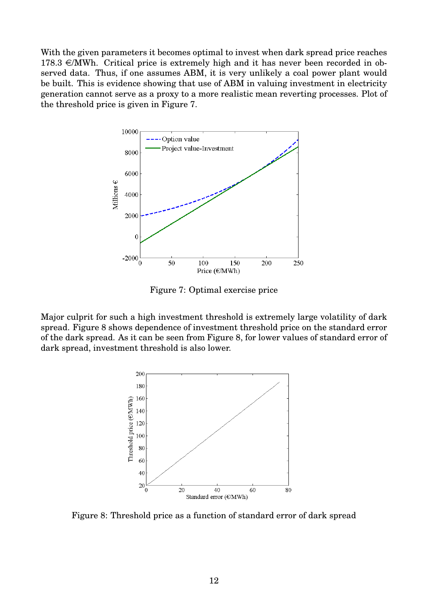With the given parameters it becomes optimal to invest when dark spread price reaches  $178.3 \in \text{MWh}$ . Critical price is extremely high and it has never been recorded in observed data. Thus, if one assumes ABM, it is very unlikely a coal power plant would be built. This is evidence showing that use of ABM in valuing investment in electricity generation cannot serve as a proxy to a more realistic mean reverting processes. Plot of the threshold price is given in Figure [7.](#page-11-0)

<span id="page-11-0"></span>

Figure 7: Optimal exercise price

<span id="page-11-1"></span>Major culprit for such a high investment threshold is extremely large volatility of dark spread. Figure [8](#page-11-1) shows dependence of investment threshold price on the standard error of the dark spread. As it can be seen from Figure [8,](#page-11-1) for lower values of standard error of dark spread, investment threshold is also lower.



Figure 8: Threshold price as a function of standard error of dark spread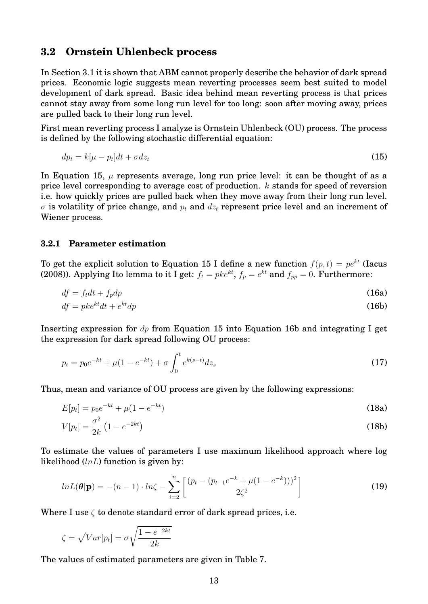#### **3.2 Ornstein Uhlenbeck process**

In Section [3.1](#page-6-6) it is shown that ABM cannot properly describe the behavior of dark spread prices. Economic logic suggests mean reverting processes seem best suited to model development of dark spread. Basic idea behind mean reverting process is that prices cannot stay away from some long run level for too long: soon after moving away, prices are pulled back to their long run level.

First mean reverting process I analyze is Ornstein Uhlenbeck (OU) process. The process is defined by the following stochastic differential equation:

<span id="page-12-0"></span>
$$
dp_t = k[\mu - p_t]dt + \sigma dz_t \tag{15}
$$

In Equation [15,](#page-12-0)  $\mu$  represents average, long run price level: it can be thought of as a price level corresponding to average cost of production. k stands for speed of reversion i.e. how quickly prices are pulled back when they move away from their long run level.  $\sigma$  is volatility of price change, and  $p_t$  and  $dz_t$  represent price level and an increment of Wiener process.

#### **3.2.1 Parameter estimation**

To get the explicit solution to Equation [15](#page-12-0) I define a new function  $f(p, t) = pe^{kt}$  [\(Iacus](#page-36-8) [\(2008\)](#page-36-8)). Applying Ito lemma to it I get:  $f_t=pke^{kt},$   $f_p=e^{kt}$  and  $f_{pp}=0.$  Furthermore:

<span id="page-12-1"></span>
$$
df = f_t dt + f_p dp \tag{16a}
$$

$$
df = pke^{kt}dt + e^{kt}dp
$$
 (16b)

Inserting expression for  $dp$  from Equation [15](#page-12-0) into Equation [16b](#page-12-1) and integrating I get the expression for dark spread following OU process:

$$
p_t = p_0 e^{-kt} + \mu (1 - e^{-kt}) + \sigma \int_0^t e^{k(s-t)} dz_s
$$
\n(17)

Thus, mean and variance of OU process are given by the following expressions:

$$
E[p_t] = p_0 e^{-kt} + \mu (1 - e^{-kt})
$$
\n(18a)

<span id="page-12-2"></span>
$$
V[p_t] = \frac{\sigma^2}{2k} \left( 1 - e^{-2kt} \right) \tag{18b}
$$

To estimate the values of parameters I use maximum likelihood approach where log likelihood  $(lnL)$  function is given by:

$$
ln L(\theta|\mathbf{p}) = -(n-1) \cdot ln\zeta - \sum_{i=2}^{n} \left[ \frac{(p_t - (p_{t-1}e^{-k} + \mu(1 - e^{-k})))^2}{2\zeta^2} \right]
$$
(19)

Where I use  $\zeta$  to denote standard error of dark spread prices, i.e.

$$
\zeta = \sqrt{Var[p_t]} = \sigma \sqrt{\frac{1 - e^{-2kt}}{2k}}
$$

The values of estimated parameters are given in Table [7.](#page-13-0)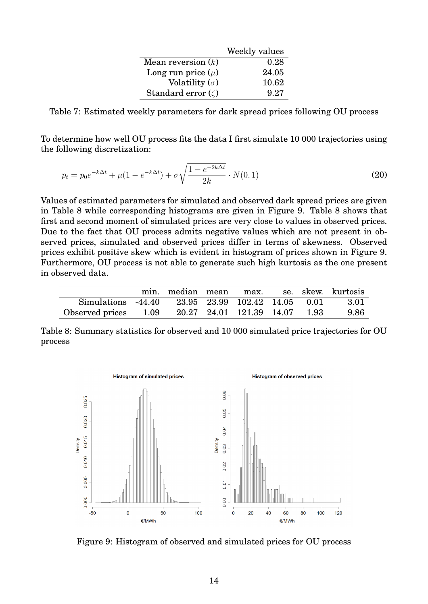|                          | Weekly values |
|--------------------------|---------------|
| Mean reversion $(k)$     | 0.28          |
| Long run price $(\mu)$   | 24.05         |
| Volatility $(\sigma)$    | 10.62         |
| Standard error $(\zeta)$ | 9.27          |

<span id="page-13-0"></span>Table 7: Estimated weekly parameters for dark spread prices following OU process

To determine how well OU process fits the data I first simulate 10 000 trajectories using the following discretization:

$$
p_t = p_0 e^{-k\Delta t} + \mu (1 - e^{-k\Delta t}) + \sigma \sqrt{\frac{1 - e^{-2k\Delta t}}{2k}} \cdot N(0, 1)
$$
\n(20)

Values of estimated parameters for simulated and observed dark spread prices are given in Table [8](#page-13-1) while corresponding histograms are given in Figure [9.](#page-13-2) Table [8](#page-13-1) shows that first and second moment of simulated prices are very close to values in observed prices. Due to the fact that OU process admits negative values which are not present in observed prices, simulated and observed prices differ in terms of skewness. Observed prices exhibit positive skew which is evident in histogram of prices shown in Figure [9.](#page-13-2) Furthermore, OU process is not able to generate such high kurtosis as the one present in observed data.

<span id="page-13-1"></span>

|                                                    |  |  |  | min. median mean max. se. skew. kurtosis |
|----------------------------------------------------|--|--|--|------------------------------------------|
| Simulations -44.40 23.95 23.99 102.42 14.05 0.01   |  |  |  | 3.01                                     |
| Observed prices 1.09 20.27 24.01 121.39 14.07 1.93 |  |  |  | 9.86                                     |

Table 8: Summary statistics for observed and 10 000 simulated price trajectories for OU process

<span id="page-13-2"></span>

Figure 9: Histogram of observed and simulated prices for OU process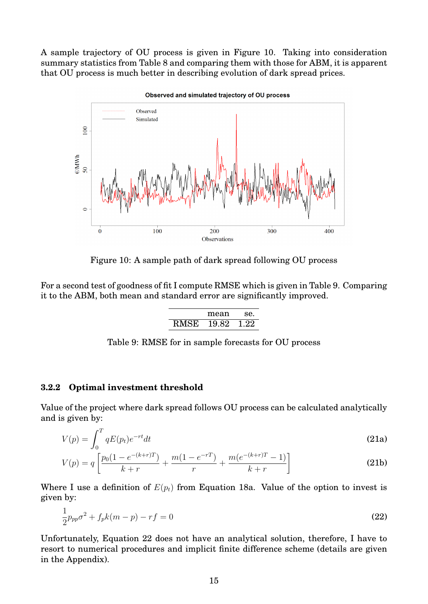<span id="page-14-0"></span>A sample trajectory of OU process is given in Figure [10.](#page-14-0) Taking into consideration summary statistics from Table [8](#page-13-1) and comparing them with those for ABM, it is apparent that OU process is much better in describing evolution of dark spread prices.



Observed and simulated trajectory of OU process

Figure 10: A sample path of dark spread following OU process

<span id="page-14-1"></span>For a second test of goodness of fit I compute RMSE which is given in Table [9.](#page-14-1) Comparing it to the ABM, both mean and standard error are significantly improved.

|      | mean  | Se.  |
|------|-------|------|
| RMSE | 19.82 | 1.22 |

Table 9: RMSE for in sample forecasts for OU process

#### **3.2.2 Optimal investment threshold**

Value of the project where dark spread follows OU process can be calculated analytically and is given by:

$$
V(p) = \int_0^T qE(p_t)e^{-rt}dt
$$
\n(21a)

$$
V(p) = q \left[ \frac{p_0(1 - e^{-(k+r)T})}{k+r} + \frac{m(1 - e^{-rT})}{r} + \frac{m(e^{-(k+r)T} - 1)}{k+r} \right]
$$
(21b)

Where I use a definition of  $E(p_t)$  from Equation [18a.](#page-12-2) Value of the option to invest is given by:

<span id="page-14-2"></span>
$$
\frac{1}{2}p_{pp}\sigma^2 + f_p k(m-p) - rf = 0
$$
\n(22)

Unfortunately, Equation [22](#page-14-2) does not have an analytical solution, therefore, I have to resort to numerical procedures and implicit finite difference scheme (details are given in the Appendix).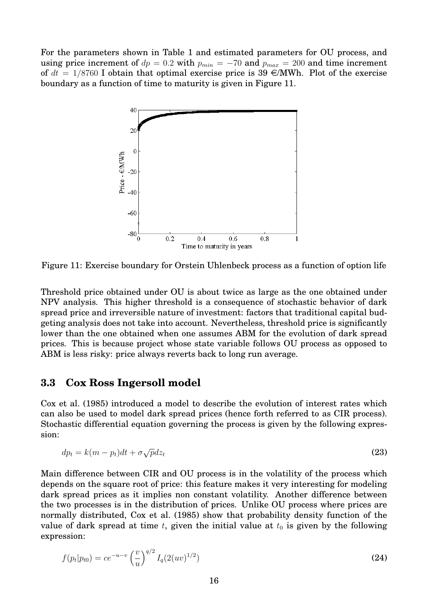<span id="page-15-0"></span>For the parameters shown in Table [1](#page-2-1) and estimated parameters for OU process, and using price increment of  $dp = 0.2$  with  $p_{min} = -70$  and  $p_{max} = 200$  and time increment of  $dt = 1/8760$  I obtain that optimal exercise price is 39  $\epsilon/MWh$ . Plot of the exercise boundary as a function of time to maturity is given in Figure [11.](#page-15-0)



Figure 11: Exercise boundary for Orstein Uhlenbeck process as a function of option life

Threshold price obtained under OU is about twice as large as the one obtained under NPV analysis. This higher threshold is a consequence of stochastic behavior of dark spread price and irreversible nature of investment: factors that traditional capital budgeting analysis does not take into account. Nevertheless, threshold price is significantly lower than the one obtained when one assumes ABM for the evolution of dark spread prices. This is because project whose state variable follows OU process as opposed to ABM is less risky: price always reverts back to long run average.

#### **3.3 Cox Ross Ingersoll model**

[Cox et al.](#page-35-8) [\(1985\)](#page-35-8) introduced a model to describe the evolution of interest rates which can also be used to model dark spread prices (hence forth referred to as CIR process). Stochastic differential equation governing the process is given by the following expression:

$$
dp_t = k(m - p_t)dt + \sigma \sqrt{p}dz_t
$$
\n(23)

Main difference between CIR and OU process is in the volatility of the process which depends on the square root of price: this feature makes it very interesting for modeling dark spread prices as it implies non constant volatility. Another difference between the two processes is in the distribution of prices. Unlike OU process where prices are normally distributed, [Cox et al.](#page-35-8) [\(1985\)](#page-35-8) show that probability density function of the value of dark spread at time t, given the initial value at  $t_0$  is given by the following expression:

$$
f(p_t|p_{t0}) = ce^{-u-v} \left(\frac{v}{u}\right)^{q/2} I_q(2(uv)^{1/2})
$$
\n(24)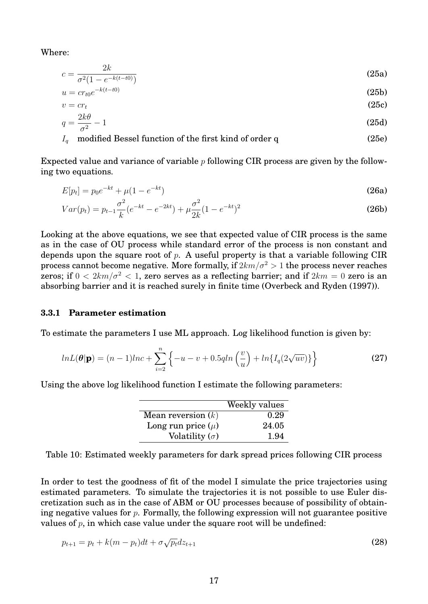Where:

$$
c = \frac{2k}{\sigma^2 (1 - e^{-k(t - t0)})}
$$
(25a)

$$
u = cr_{t0}e^{-k(t-t0)} \tag{25b}
$$

$$
v = cr_t \tag{25c}
$$

$$
q = \frac{2\kappa\sigma}{\sigma^2} - 1\tag{25d}
$$

#### $I<sub>q</sub>$  modified Bessel function of the first kind of order q (25e)

Expected value and variance of variable  $p$  following CIR process are given by the following two equations.

$$
E[p_t] = p_0 e^{-kt} + \mu (1 - e^{-kt})
$$
\n(26a)

$$
Var(p_t) = p_{t-1} \frac{\sigma^2}{k} (e^{-kt} - e^{-2kt}) + \mu \frac{\sigma^2}{2k} (1 - e^{-kt})^2
$$
\n(26b)

Looking at the above equations, we see that expected value of CIR process is the same as in the case of OU process while standard error of the process is non constant and depends upon the square root of  $p$ . A useful property is that a variable following CIR process cannot become negative. More formally, if  $2km/\sigma^2 > 1$  the process never reaches zeros; if  $0 < 2km/\sigma^2 < 1$ , zero serves as a reflecting barrier; and if  $2km = 0$  zero is an absorbing barrier and it is reached surely in finite time [\(Overbeck and Ryden](#page-36-9) [\(1997\)](#page-36-9)).

#### **3.3.1 Parameter estimation**

To estimate the parameters I use ML approach. Log likelihood function is given by:

$$
lnL(\theta|\mathbf{p}) = (n-1)lnc + \sum_{i=2}^{n} \left\{-u - v + 0.5qln\left(\frac{v}{u}\right) + ln\{I_q(2\sqrt{uv})\}\right\}
$$
(27)

Using the above log likelihood function I estimate the following parameters:

|                        | Weekly values |
|------------------------|---------------|
| Mean reversion $(k)$   | 0.29          |
| Long run price $(\mu)$ | 24.05         |
| Volatility $(\sigma)$  | 1.94          |

Table 10: Estimated weekly parameters for dark spread prices following CIR process

In order to test the goodness of fit of the model I simulate the price trajectories using estimated parameters. To simulate the trajectories it is not possible to use Euler discretization such as in the case of ABM or OU processes because of possibility of obtaining negative values for  $p$ . Formally, the following expression will not guarantee positive values of  $p$ , in which case value under the square root will be undefined:

$$
p_{t+1} = p_t + k(m - p_t)dt + \sigma \sqrt{p_t} dz_{t+1}
$$
\n(28)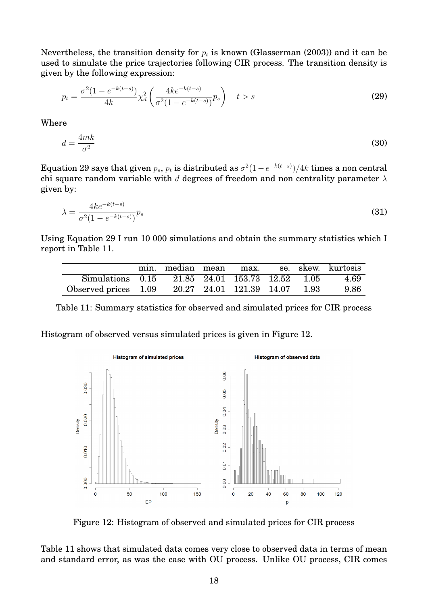Nevertheless, the transition density for  $p_t$  is known [\(Glasserman](#page-35-9) [\(2003\)](#page-35-9)) and it can be used to simulate the price trajectories following CIR process. The transition density is given by the following expression:

<span id="page-17-0"></span>
$$
p_t = \frac{\sigma^2 (1 - e^{-k(t-s)})}{4k} \chi_d^2 \left( \frac{4k e^{-k(t-s)}}{\sigma^2 (1 - e^{-k(t-s)})} p_s \right) \quad t > s \tag{29}
$$

Where

$$
d = \frac{4mk}{\sigma^2} \tag{30}
$$

Equation [29](#page-17-0) says that given  $p_s,\,p_t$  is distributed as  $\sigma^2(1-e^{-k(t-s)})/4k$  times a non central chi square random variable with d degrees of freedom and non centrality parameter  $\lambda$ given by:

$$
\lambda = \frac{4ke^{-k(t-s)}}{\sigma^2(1 - e^{-k(t-s)})} p_s \tag{31}
$$

Using Equation [29](#page-17-0) I run 10 000 simulations and obtain the summary statistics which I report in Table [11.](#page-17-1)

<span id="page-17-1"></span>

|                                                    |  |  |  | min. median mean max. se. skew. kurtosis |
|----------------------------------------------------|--|--|--|------------------------------------------|
| Simulations 0.15 21.85 24.01 153.73 12.52 1.05     |  |  |  | 4.69                                     |
| Observed prices 1.09 20.27 24.01 121.39 14.07 1.93 |  |  |  | 9.86                                     |

Table 11: Summary statistics for observed and simulated prices for CIR process

<span id="page-17-2"></span>Histogram of observed versus simulated prices is given in Figure [12.](#page-17-2)



Figure 12: Histogram of observed and simulated prices for CIR process

Table [11](#page-17-1) shows that simulated data comes very close to observed data in terms of mean and standard error, as was the case with OU process. Unlike OU process, CIR comes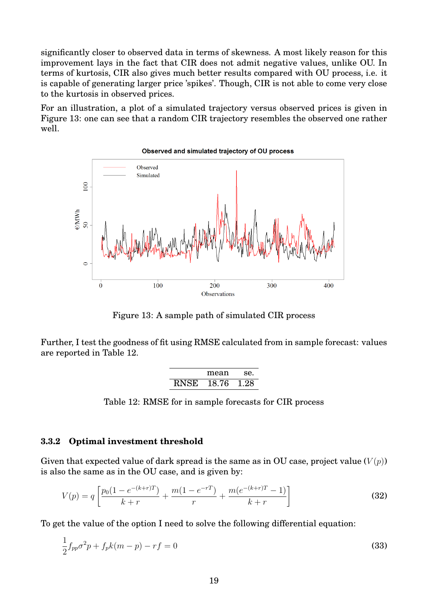significantly closer to observed data in terms of skewness. A most likely reason for this improvement lays in the fact that CIR does not admit negative values, unlike OU. In terms of kurtosis, CIR also gives much better results compared with OU process, i.e. it is capable of generating larger price 'spikes'. Though, CIR is not able to come very close to the kurtosis in observed prices.

For an illustration, a plot of a simulated trajectory versus observed prices is given in Figure [13:](#page-18-0) one can see that a random CIR trajectory resembles the observed one rather well.

<span id="page-18-0"></span>

Figure 13: A sample path of simulated CIR process

<span id="page-18-1"></span>Further, I test the goodness of fit using RMSE calculated from in sample forecast: values are reported in Table [12.](#page-18-1)

<span id="page-18-2"></span>

|             | mean  | Se.  |
|-------------|-------|------|
| <b>RNSE</b> | 18.76 | 1 28 |

Table 12: RMSE for in sample forecasts for CIR process

#### **3.3.2 Optimal investment threshold**

Given that expected value of dark spread is the same as in OU case, project value  $(V(p))$ is also the same as in the OU case, and is given by:

$$
V(p) = q \left[ \frac{p_0(1 - e^{-(k+r)T})}{k+r} + \frac{m(1 - e^{-rT})}{r} + \frac{m(e^{-(k+r)T} - 1)}{k+r} \right]
$$
(32)

To get the value of the option I need to solve the following differential equation:

$$
\frac{1}{2}f_{pp}\sigma^2 p + f_p k(m-p) - rf = 0
$$
\n(33)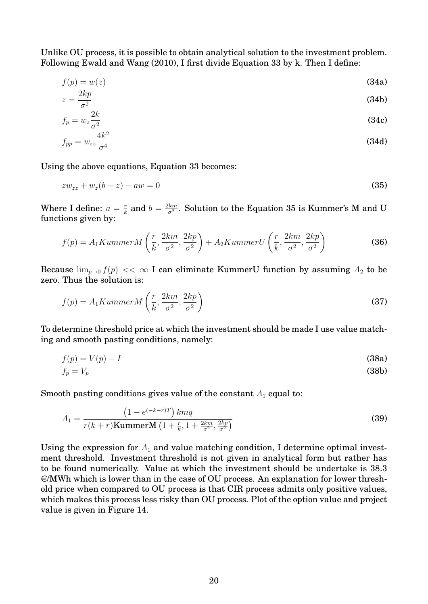Unlike OU process, it is possible to obtain analytical solution to the investment problem. Following [Ewald and Wang](#page-35-10) [\(2010\)](#page-35-10), I first divide Equation [33](#page-18-2) by k. Then I define:

$$
f(p) = w(z)
$$
\n<sup>(34a)</sup>

$$
z = \frac{2\kappa p}{\sigma^2} \tag{34b}
$$

$$
f_p = w_z \frac{2k}{\sigma^2} \tag{34c}
$$

<span id="page-19-0"></span>
$$
f_{pp} = w_{zz} \frac{4k^2}{\sigma^4} \tag{34d}
$$

Using the above equations, Equation [33](#page-18-2) becomes:

$$
zw_{zz} + w_z(b - z) - aw = 0 \tag{35}
$$

Where I define:  $a = \frac{r}{k}$  $\frac{r}{k}$  and  $b = \frac{2km}{\sigma^2}$  $\frac{km}{\sigma^2}.$  Solution to the Equation [35](#page-19-0) is Kummer's M and U functions given by:

$$
f(p) = A_1 KummerM\left(\frac{r}{k}, \frac{2km}{\sigma^2}, \frac{2kp}{\sigma^2}\right) + A_2 KummerU\left(\frac{r}{k}, \frac{2km}{\sigma^2}, \frac{2kp}{\sigma^2}\right)
$$
(36)

Because  $\lim_{p\to 0} f(p) \ll \infty$  I can eliminate KummerU function by assuming  $A_2$  to be zero. Thus the solution is:

$$
f(p) = A_1 KummerM\left(\frac{r}{k}, \frac{2km}{\sigma^2}, \frac{2kp}{\sigma^2}\right)
$$
\n(37)

To determine threshold price at which the investment should be made I use value matching and smooth pasting conditions, namely:

$$
f(p) = V(p) - I \tag{38a}
$$

$$
f_p = V_p \tag{38b}
$$

Smooth pasting conditions gives value of the constant  $A_1$  equal to:

$$
A_1 = \frac{\left(1 - e^{(-k-r)T}\right)kmq}{r(k+r)\text{KummerM}\left(1 + \frac{r}{k}, 1 + \frac{2km}{\sigma^2}, \frac{2kp}{\sigma^2}\right)}
$$
(39)

Using the expression for  $A_1$  and value matching condition, I determine optimal investment threshold. Investment threshold is not given in analytical form but rather has to be found numerically. Value at which the investment should be undertake is 38.3  $\epsilon$ /MWh which is lower than in the case of OU process. An explanation for lower threshold price when compared to OU process is that CIR process admits only positive values, which makes this process less risky than OU process. Plot of the option value and project value is given in Figure [14.](#page-20-0)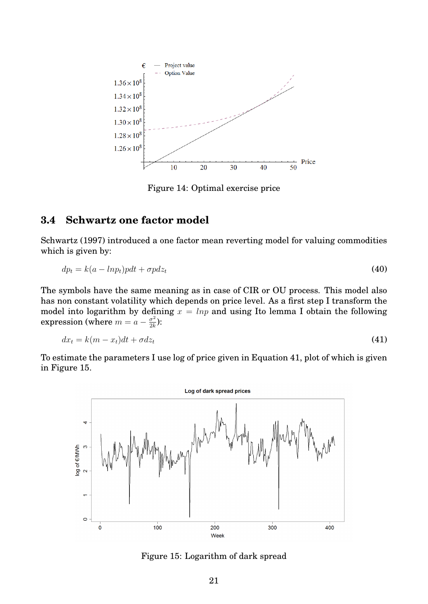<span id="page-20-0"></span>

Figure 14: Optimal exercise price

## **3.4 Schwartz one factor model**

[Schwartz](#page-36-10) [\(1997\)](#page-36-10) introduced a one factor mean reverting model for valuing commodities which is given by:

$$
dp_t = k(a - lnp_t) p dt + \sigma p dz_t \tag{40}
$$

The symbols have the same meaning as in case of CIR or OU process. This model also has non constant volatility which depends on price level. As a first step I transform the model into logarithm by defining  $x = lnp$  and using Ito lemma I obtain the following expression (where  $m = a - \frac{\sigma^2}{2k}$  $\frac{\sigma^2}{2k}$ ):

<span id="page-20-1"></span>
$$
dx_t = k(m - x_t)dt + \sigma dz_t \tag{41}
$$

To estimate the parameters I use log of price given in Equation [41,](#page-20-1) plot of which is given in Figure [15.](#page-20-2)

<span id="page-20-2"></span>

Figure 15: Logarithm of dark spread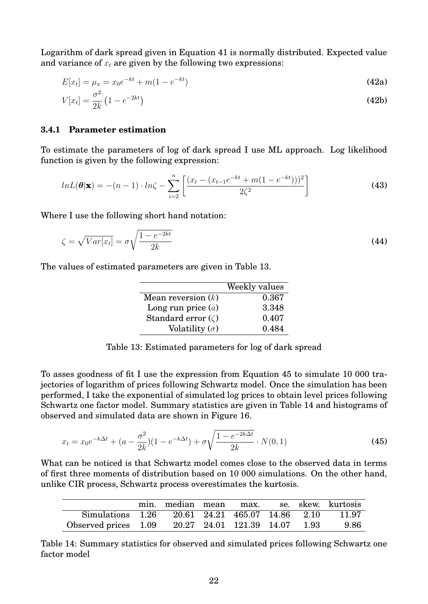Logarithm of dark spread given in Equation [41](#page-20-1) is normally distributed. Expected value and variance of  $x_t$  are given by the following two expressions:

$$
E[x_t] = \mu_x = x_0 e^{-kt} + m(1 - e^{-kt})
$$
\n(42a)

<span id="page-21-3"></span>
$$
V[x_t] = \frac{\sigma^2}{2k} \left( 1 - e^{-2kt} \right) \tag{42b}
$$

#### **3.4.1 Parameter estimation**

To estimate the parameters of log of dark spread I use ML approach. Log likelihood function is given by the following expression:

$$
lnL(\boldsymbol{\theta}|\mathbf{x}) = -(n-1) \cdot ln\zeta - \sum_{i=2}^{n} \left[ \frac{(x_t - (x_{t-1}e^{-kt} + m(1 - e^{-kt})))^2}{2\zeta^2} \right]
$$
(43)

Where I use the following short hand notation:

$$
\zeta = \sqrt{Var[x_t]} = \sigma \sqrt{\frac{1 - e^{-2kt}}{2k}}
$$
\n(44)

<span id="page-21-0"></span>The values of estimated parameters are given in Table [13.](#page-21-0)

<span id="page-21-4"></span>

|                          | Weekly values |
|--------------------------|---------------|
| Mean reversion $(k)$     | 0.367         |
| Long run price $(a)$     | 3.348         |
| Standard error $(\zeta)$ | 0.407         |
| Volatility $(\sigma)$    | 0.484         |

<span id="page-21-1"></span>Table 13: Estimated parameters for log of dark spread

To asses goodness of fit I use the expression from Equation [45](#page-21-1) to simulate 10 000 trajectories of logarithm of prices following Schwartz model. Once the simulation has been performed, I take the exponential of simulated log prices to obtain level prices following Schwartz one factor model. Summary statistics are given in Table [14](#page-21-2) and histograms of observed and simulated data are shown in Figure [16.](#page-22-0)

$$
x_t = x_0 e^{-k\Delta t} + (a - \frac{\sigma^2}{2k})(1 - e^{-k\Delta t}) + \sigma \sqrt{\frac{1 - e^{-2k\Delta t}}{2k}} \cdot N(0, 1)
$$
\n(45)

What can be noticed is that Schwartz model comes close to the observed data in terms of first three moments of distribution based on 10 000 simulations. On the other hand, unlike CIR process, Schwartz process overestimates the kurtosis.

<span id="page-21-2"></span>

|                                                      |  |  |  | min. median mean max. se. skew. kurtosis |
|------------------------------------------------------|--|--|--|------------------------------------------|
| Simulations 1.26 20.61 24.21 465.07 14.86 2.10 11.97 |  |  |  |                                          |
| Observed prices 1.09 20.27 24.01 121.39 14.07 1.93   |  |  |  | 9.86                                     |

Table 14: Summary statistics for observed and simulated prices following Schwartz one factor model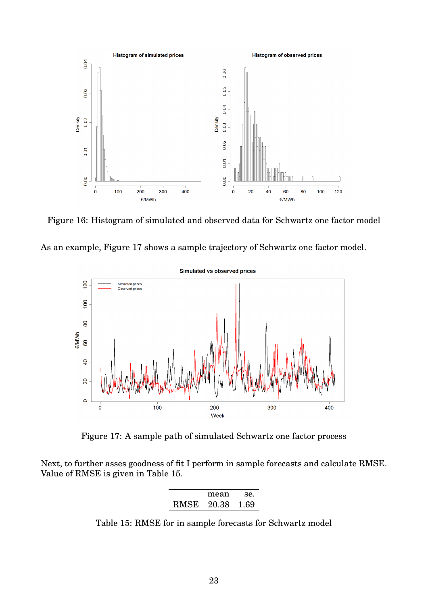<span id="page-22-0"></span>

Figure 16: Histogram of simulated and observed data for Schwartz one factor model



<span id="page-22-1"></span>

Figure 17: A sample path of simulated Schwartz one factor process

<span id="page-22-2"></span>Next, to further asses goodness of fit I perform in sample forecasts and calculate RMSE. Value of RMSE is given in Table [15.](#page-22-2)

|      | mean  | se.  |
|------|-------|------|
| RMSE | 20.38 | 1.69 |

Table 15: RMSE for in sample forecasts for Schwartz model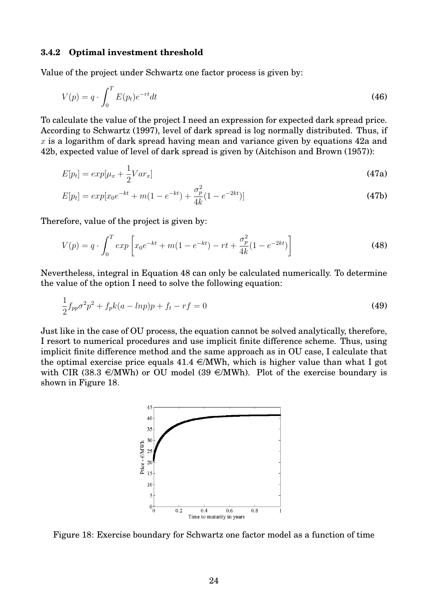#### **3.4.2 Optimal investment threshold**

Value of the project under Schwartz one factor process is given by:

$$
V(p) = q \cdot \int_0^T E(p_t) e^{-rt} dt \tag{46}
$$

To calculate the value of the project I need an expression for expected dark spread price. According to [Schwartz](#page-36-10) [\(1997\)](#page-36-10), level of dark spread is log normally distributed. Thus, if  $x$  is a logarithm of dark spread having mean and variance given by equations [42a](#page-21-3) and [42b,](#page-21-4) expected value of level of dark spread is given by [\(Aitchison and Brown](#page-35-11) [\(1957\)](#page-35-11)):

$$
E[p_t] = exp[\mu_x + \frac{1}{2}Var_x]
$$
\n(47a)

$$
E[p_t] = exp[x_0e^{-kt} + m(1 - e^{-kt}) + \frac{\sigma_p^2}{4k}(1 - e^{-2kt})]
$$
\n(47b)

Therefore, value of the project is given by:

<span id="page-23-0"></span>
$$
V(p) = q \cdot \int_0^T \exp\left[x_0 e^{-kt} + m(1 - e^{-kt}) - rt + \frac{\sigma_p^2}{4k}(1 - e^{-2kt})\right]
$$
 (48)

Nevertheless, integral in Equation [48](#page-23-0) can only be calculated numerically. To determine the value of the option I need to solve the following equation:

$$
\frac{1}{2}f_{pp}\sigma^2 p^2 + f_p k(a - lnp)p + f_t - rf = 0
$$
\n(49)

<span id="page-23-1"></span>Just like in the case of OU process, the equation cannot be solved analytically, therefore, I resort to numerical procedures and use implicit finite difference scheme. Thus, using implicit finite difference method and the same approach as in OU case, I calculate that the optimal exercise price equals  $41.4 \in \mathbb{M}$ Wh, which is higher value than what I got with CIR (38.3  $\in$ /MWh) or OU model (39  $\in$ /MWh). Plot of the exercise boundary is shown in Figure [18.](#page-23-1)



Figure 18: Exercise boundary for Schwartz one factor model as a function of time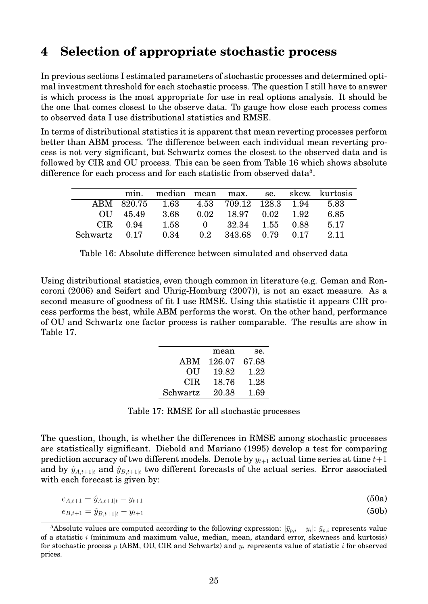# <span id="page-24-0"></span>**4 Selection of appropriate stochastic process**

In previous sections I estimated parameters of stochastic processes and determined optimal investment threshold for each stochastic process. The question I still have to answer is which process is the most appropriate for use in real options analysis. It should be the one that comes closest to the observe data. To gauge how close each process comes to observed data I use distributional statistics and RMSE.

In terms of distributional statistics it is apparent that mean reverting processes perform better than ABM process. The difference between each individual mean reverting process is not very significant, but Schwartz comes the closest to the observed data and is followed by CIR and OU process. This can be seen from Table [16](#page-24-1) which shows absolute difference for each process and for each statistic from observed data<sup>[5](#page-24-2)</sup>.

<span id="page-24-1"></span>

|               | min.       | median mean max. se.                  |      |                              |  | skew. kurtosis |
|---------------|------------|---------------------------------------|------|------------------------------|--|----------------|
|               | ABM 820.75 | $1.63$ $4.53$ $709.12$ $128.3$ $1.94$ |      |                              |  | 5.83           |
|               | OU 45.49   | -3.68                                 | 0.02 | 18.97 0.02 1.92              |  | 6.85           |
|               | $CIR$ 0.94 | 1.58                                  |      | $0 \t 32.34 \t 1.55 \t 0.88$ |  | 5.17           |
| Schwartz 0.17 |            | 0.34                                  |      | $0.2$ $343.68$ $0.79$ $0.17$ |  | 2.11           |

<span id="page-24-3"></span>Using distributional statistics, even though common in literature (e.g. [Geman and Ron](#page-35-12)[coroni](#page-35-12) [\(2006\)](#page-35-12) and [Seifert and Uhrig-Homburg](#page-36-11) [\(2007\)](#page-36-11)), is not an exact measure. As a second measure of goodness of fit I use RMSE. Using this statistic it appears CIR process performs the best, while ABM performs the worst. On the other hand, performance of OU and Schwartz one factor process is rather comparable. The results are show in Table [17.](#page-24-3)

|            | mean   | se.   |
|------------|--------|-------|
| <b>ABM</b> | 126.07 | 67.68 |
| OU         | 19.82  | 1.22  |
| CIR.       | 18.76  | 1.28  |
| Schwartz   | 20.38  | 1.69  |

| Table 17: RMSE for all stochastic processes |  |  |  |  |
|---------------------------------------------|--|--|--|--|
|---------------------------------------------|--|--|--|--|

The question, though, is whether the differences in RMSE among stochastic processes are statistically significant. [Diebold and Mariano](#page-35-13) [\(1995\)](#page-35-13) develop a test for comparing prediction accuracy of two different models. Denote by  $y_{t+1}$  actual time series at time  $t+1$ and by  $\hat{y}_{A,t+1|t}$  and  $\hat{y}_{B,t+1|t}$  two different forecasts of the actual series. Error associated with each forecast is given by:

$$
e_{A,t+1} = \hat{y}_{A,t+1|t} - y_{t+1} \tag{50a}
$$

$$
e_{B,t+1} = \hat{y}_{B,t+1|t} - y_{t+1} \tag{50b}
$$

<span id="page-24-2"></span> $^5$ Absolute values are computed according to the following expression:  $|\bar y_{p,i} - y_i|$ :  $\bar y_{p,i}$  represents value of a statistic  $i$  (minimum and maximum value, median, mean, standard error, skewness and kurtosis) for stochastic process  $p$  (ABM, OU, CIR and Schwartz) and  $y_i$  represents value of statistic  $i$  for observed prices.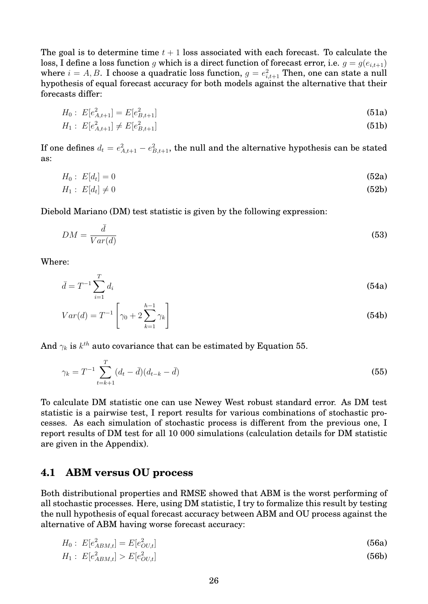The goal is to determine time  $t + 1$  loss associated with each forecast. To calculate the loss, I define a loss function g which is a direct function of forecast error, i.e.  $g = g(e_{i,t+1})$ where  $i=A,B.$  I choose a quadratic loss function,  $g=e^2_{i,t+1}$  Then, one can state a null hypothesis of equal forecast accuracy for both models against the alternative that their forecasts differ:

$$
H_0: E[e_{A,t+1}^2] = E[e_{B,t+1}^2] \tag{51a}
$$

$$
H_1: E[e_{A,t+1}^2] \neq E[e_{B,t+1}^2]
$$
\n(51b)

If one defines  $d_t = e_{A,t+1}^2 - e_{B,t+1}^2,$  the null and the alternative hypothesis can be stated as:

$$
H_0: E[d_t] = 0 \tag{52a}
$$

$$
H_1: E[d_t] \neq 0 \tag{52b}
$$

Diebold Mariano (DM) test statistic is given by the following expression:

$$
DM = \frac{\bar{d}}{Var(d)}\tag{53}
$$

Where:

<span id="page-25-0"></span> $\sigma$ 

$$
\bar{d} = T^{-1} \sum_{i=1}^{I} d_i
$$
 (54a)

$$
Var(d) = T^{-1} \left[ \gamma_0 + 2 \sum_{k=1}^{h-1} \gamma_k \right]
$$
 (54b)

And  $\gamma_k$  is  $k^{th}$  auto covariance that can be estimated by Equation [55.](#page-25-0)

$$
\gamma_k = T^{-1} \sum_{t=k+1}^T (d_t - \bar{d})(d_{t-k} - \bar{d})
$$
\n(55)

To calculate DM statistic one can use Newey West robust standard error. As DM test statistic is a pairwise test, I report results for various combinations of stochastic processes. As each simulation of stochastic process is different from the previous one, I report results of DM test for all 10 000 simulations (calculation details for DM statistic are given in the Appendix).

### **4.1 ABM versus OU process**

Both distributional properties and RMSE showed that ABM is the worst performing of all stochastic processes. Here, using DM statistic, I try to formalize this result by testing the null hypothesis of equal forecast accuracy between ABM and OU process against the alternative of ABM having worse forecast accuracy:

$$
H_0: E[e_{ABM,t}^2] = E[e_{OU,t}^2]
$$
\n
$$
H_1: E[e_{ABM,t}^2] > E[e_{OU,t}^2]
$$
\n(56a)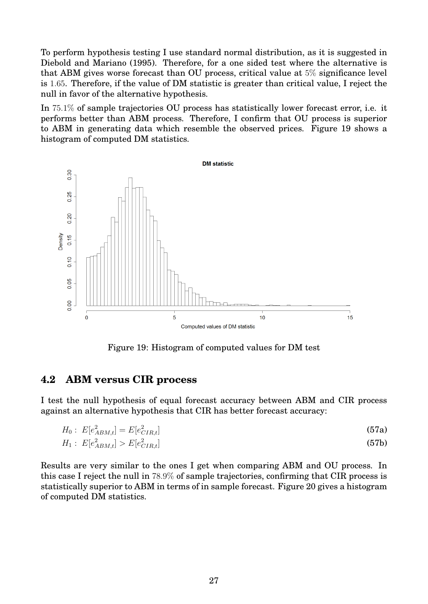To perform hypothesis testing I use standard normal distribution, as it is suggested in [Diebold and Mariano](#page-35-13) [\(1995\)](#page-35-13). Therefore, for a one sided test where the alternative is that ABM gives worse forecast than OU process, critical value at 5% significance level is 1.65. Therefore, if the value of DM statistic is greater than critical value, I reject the null in favor of the alternative hypothesis.

In 75.1% of sample trajectories OU process has statistically lower forecast error, i.e. it performs better than ABM process. Therefore, I confirm that OU process is superior to ABM in generating data which resemble the observed prices. Figure [19](#page-26-0) shows a histogram of computed DM statistics.

<span id="page-26-0"></span>

Figure 19: Histogram of computed values for DM test

## **4.2 ABM versus CIR process**

I test the null hypothesis of equal forecast accuracy between ABM and CIR process against an alternative hypothesis that CIR has better forecast accuracy:

$$
H_0: E[e_{ABM,t}^2] = E[e_{CIR,t}^2]
$$
\n(57a)

$$
H_1: E[e_{ABM,t}^2] > E[e_{CIR,t}^2]
$$
\n(57b)

Results are very similar to the ones I get when comparing ABM and OU process. In this case I reject the null in 78.9% of sample trajectories, confirming that CIR process is statistically superior to ABM in terms of in sample forecast. Figure [20](#page-27-0) gives a histogram of computed DM statistics.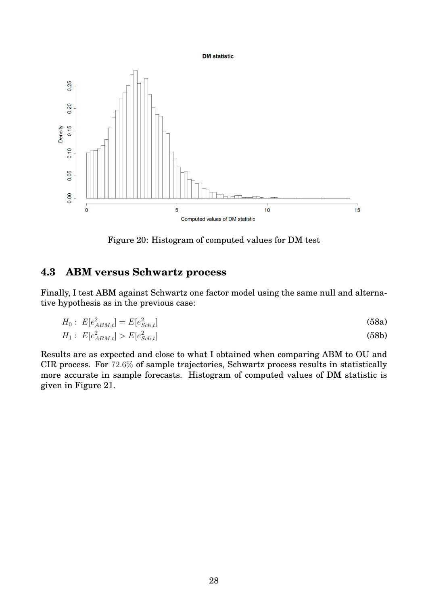#### **DM** statistic

<span id="page-27-0"></span>

Figure 20: Histogram of computed values for DM test

## **4.3 ABM versus Schwartz process**

Finally, I test ABM against Schwartz one factor model using the same null and alternative hypothesis as in the previous case:

$$
H_0: E[e_{ABM,t}^2] = E[e_{Sch,t}^2]
$$
\n(58a)

$$
H_1: E[e_{ABM,t}^2] > E[e_{Sch,t}^2]
$$
\n(58b)

Results are as expected and close to what I obtained when comparing ABM to OU and CIR process. For 72.6% of sample trajectories, Schwartz process results in statistically more accurate in sample forecasts. Histogram of computed values of DM statistic is given in Figure [21.](#page-28-0)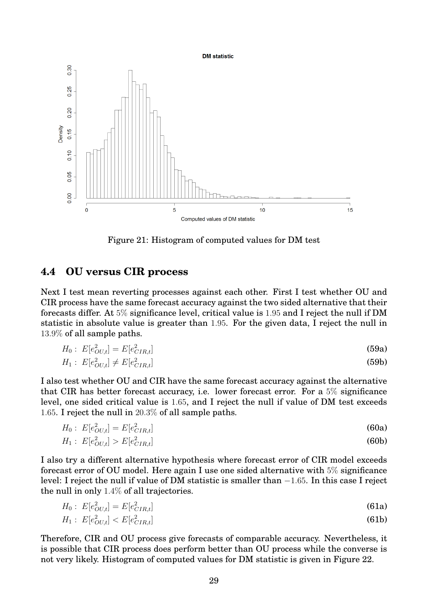<span id="page-28-0"></span>

Figure 21: Histogram of computed values for DM test

## **4.4 OU versus CIR process**

Next I test mean reverting processes against each other. First I test whether OU and CIR process have the same forecast accuracy against the two sided alternative that their forecasts differ. At 5% significance level, critical value is 1.95 and I reject the null if DM statistic in absolute value is greater than 1.95. For the given data, I reject the null in 13.9% of all sample paths.

$$
H_0: E[e_{OL,t}^2] = E[e_{CIR,t}^2]
$$
\n(59a)

$$
H_1: E[e_{OL,t}^2] \neq E[e_{CIR,t}^2]
$$
\n(59b)

I also test whether OU and CIR have the same forecast accuracy against the alternative that CIR has better forecast accuracy, i.e. lower forecast error. For a 5% significance level, one sided critical value is 1.65, and I reject the null if value of DM test exceeds 1.65. I reject the null in 20.3% of all sample paths.

$$
H_0: E[e_{OU,t}^2] = E[e_{CIR,t}^2]
$$
\n(60a)  
\n
$$
H_1: E[e_{OU,t}^2] > E[e_{CIR,t}^2]
$$
\n(60b)

I also try a different alternative hypothesis where forecast error of CIR model exceeds forecast error of OU model. Here again I use one sided alternative with 5% significance level: I reject the null if value of DM statistic is smaller than −1.65. In this case I reject the null in only 1.4% of all trajectories.

$$
H_0: E[e_{OU,t}^2] = E[e_{CIR,t}^2]
$$
\n(61a)

$$
H_1: E[e_{OU,t}^2] < E[e_{CIR,t}^2] \tag{61b}
$$

Therefore, CIR and OU process give forecasts of comparable accuracy. Nevertheless, it is possible that CIR process does perform better than OU process while the converse is not very likely. Histogram of computed values for DM statistic is given in Figure [22.](#page-29-0)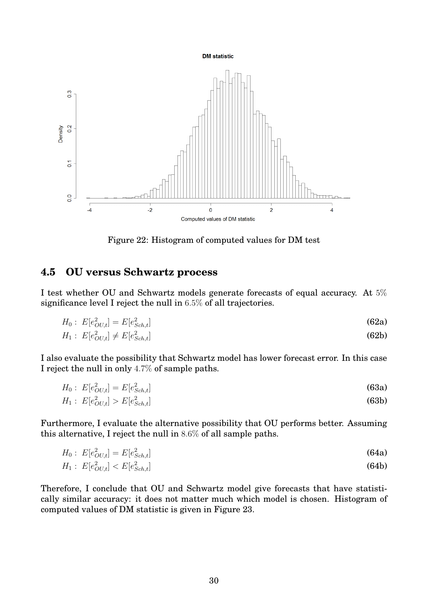<span id="page-29-0"></span>

Figure 22: Histogram of computed values for DM test

## **4.5 OU versus Schwartz process**

I test whether OU and Schwartz models generate forecasts of equal accuracy. At 5% significance level I reject the null in 6.5% of all trajectories.

$$
H_0: E[e_{OL,t}^2] = E[e_{Sch,t}^2]
$$
\n(62a)

$$
H_1: E[e_{OL,t}^2] \neq E[e_{Sch,t}^2] \tag{62b}
$$

I also evaluate the possibility that Schwartz model has lower forecast error. In this case I reject the null in only 4.7% of sample paths.

$$
H_0: E[e_{OU,t}^2] = E[e_{Sch,t}^2]
$$
\n(63a)

$$
H_1: E[e_{OU,t}^2] > E[e_{Sch,t}^2]
$$
\n(63b)

Furthermore, I evaluate the alternative possibility that OU performs better. Assuming this alternative, I reject the null in 8.6% of all sample paths.

$$
H_0: E[e_{OU,t}^2] = E[e_{Sch,t}^2]
$$
\n(64a)  
\n
$$
H_1: E[e_{OU,t}^2] < E[e_{Sch,t}^2]
$$
\n(64b)

Therefore, I conclude that OU and Schwartz model give forecasts that have statistically similar accuracy: it does not matter much which model is chosen. Histogram of computed values of DM statistic is given in Figure [23.](#page-30-0)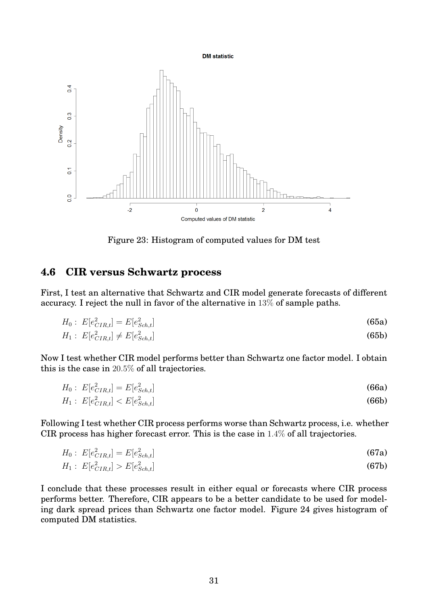**DM** statistic

<span id="page-30-0"></span>

Figure 23: Histogram of computed values for DM test

## **4.6 CIR versus Schwartz process**

First, I test an alternative that Schwartz and CIR model generate forecasts of different accuracy. I reject the null in favor of the alternative in 13% of sample paths.

$$
H_0: E[e_{CIR,t}^2] = E[e_{Sch,t}^2]
$$
\n(65a)

$$
H_1: E[e_{CIR,t}^2] \neq E[e_{Sch,t}^2]
$$
\n(65b)

Now I test whether CIR model performs better than Schwartz one factor model. I obtain this is the case in 20.5% of all trajectories.

$$
H_0: E[e_{CIR,t}^2] = E[e_{Sch,t}^2]
$$
\n(66a)

$$
H_1: E[e_{CIR,t}^2] < E[e_{Sch,t}^2] \tag{66b}
$$

Following I test whether CIR process performs worse than Schwartz process, i.e. whether CIR process has higher forecast error. This is the case in 1.4% of all trajectories.

$$
H_0: E[e_{CIR,t}^2] = E[e_{Sch,t}^2]
$$
\n
$$
H_1: E[e_{CIR,t}^2] \geq E[e_{Sch,t}^2]
$$
\n(67a)

$$
H_1: E[e_{CIR,t}^2] > E[e_{Sch,t}^2]
$$
\n(67b)

I conclude that these processes result in either equal or forecasts where CIR process performs better. Therefore, CIR appears to be a better candidate to be used for modeling dark spread prices than Schwartz one factor model. Figure [24](#page-31-0) gives histogram of computed DM statistics.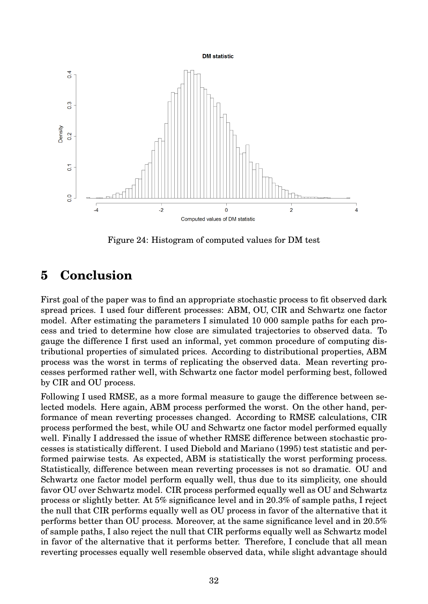<span id="page-31-0"></span>

Figure 24: Histogram of computed values for DM test

# **5 Conclusion**

First goal of the paper was to find an appropriate stochastic process to fit observed dark spread prices. I used four different processes: ABM, OU, CIR and Schwartz one factor model. After estimating the parameters I simulated 10 000 sample paths for each process and tried to determine how close are simulated trajectories to observed data. To gauge the difference I first used an informal, yet common procedure of computing distributional properties of simulated prices. According to distributional properties, ABM process was the worst in terms of replicating the observed data. Mean reverting processes performed rather well, with Schwartz one factor model performing best, followed by CIR and OU process.

Following I used RMSE, as a more formal measure to gauge the difference between selected models. Here again, ABM process performed the worst. On the other hand, performance of mean reverting processes changed. According to RMSE calculations, CIR process performed the best, while OU and Schwartz one factor model performed equally well. Finally I addressed the issue of whether RMSE difference between stochastic processes is statistically different. I used [Diebold and Mariano](#page-35-13) [\(1995\)](#page-35-13) test statistic and performed pairwise tests. As expected, ABM is statistically the worst performing process. Statistically, difference between mean reverting processes is not so dramatic. OU and Schwartz one factor model perform equally well, thus due to its simplicity, one should favor OU over Schwartz model. CIR process performed equally well as OU and Schwartz process or slightly better. At 5% significance level and in 20.3% of sample paths, I reject the null that CIR performs equally well as OU process in favor of the alternative that it performs better than OU process. Moreover, at the same significance level and in 20.5% of sample paths, I also reject the null that CIR performs equally well as Schwartz model in favor of the alternative that it performs better. Therefore, I conclude that all mean reverting processes equally well resemble observed data, while slight advantage should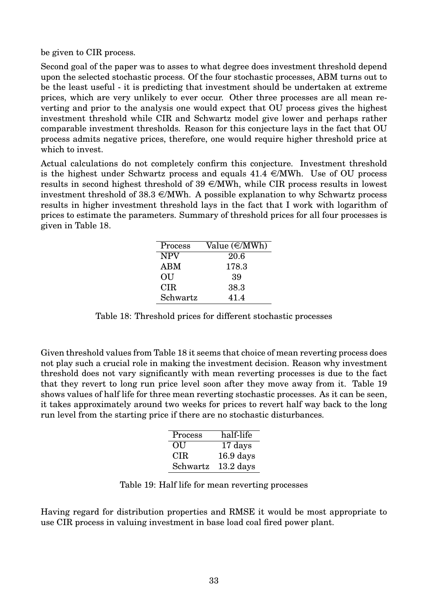be given to CIR process.

Second goal of the paper was to asses to what degree does investment threshold depend upon the selected stochastic process. Of the four stochastic processes, ABM turns out to be the least useful - it is predicting that investment should be undertaken at extreme prices, which are very unlikely to ever occur. Other three processes are all mean reverting and prior to the analysis one would expect that OU process gives the highest investment threshold while CIR and Schwartz model give lower and perhaps rather comparable investment thresholds. Reason for this conjecture lays in the fact that OU process admits negative prices, therefore, one would require higher threshold price at which to invest.

<span id="page-32-0"></span>Actual calculations do not completely confirm this conjecture. Investment threshold is the highest under Schwartz process and equals  $41.4 \in \text{MWh}$ . Use of OU process results in second highest threshold of  $39 \in MWh$ , while CIR process results in lowest investment threshold of  $38.3 \in \mathbb{M}$ Wh. A possible explanation to why Schwartz process results in higher investment threshold lays in the fact that I work with logarithm of prices to estimate the parameters. Summary of threshold prices for all four processes is given in Table [18.](#page-32-0)

| Process    | Value $(\in/MWh)$ |
|------------|-------------------|
| <b>NPV</b> | 20.6              |
| <b>ABM</b> | 178.3             |
| OU         | 39                |
| <b>CIR</b> | 38.3              |
| Schwartz   | 41.4              |

Table 18: Threshold prices for different stochastic processes

<span id="page-32-1"></span>Given threshold values from Table [18](#page-32-0) it seems that choice of mean reverting process does not play such a crucial role in making the investment decision. Reason why investment threshold does not vary significantly with mean reverting processes is due to the fact that they revert to long run price level soon after they move away from it. Table [19](#page-32-1) shows values of half life for three mean reverting stochastic processes. As it can be seen, it takes approximately around two weeks for prices to revert half way back to the long run level from the starting price if there are no stochastic disturbances.

| Process    | half-life   |
|------------|-------------|
| OU         | 17 days     |
| <b>CIR</b> | $16.9$ days |
| Schwartz   | $13.2$ days |

Table 19: Half life for mean reverting processes

Having regard for distribution properties and RMSE it would be most appropriate to use CIR process in valuing investment in base load coal fired power plant.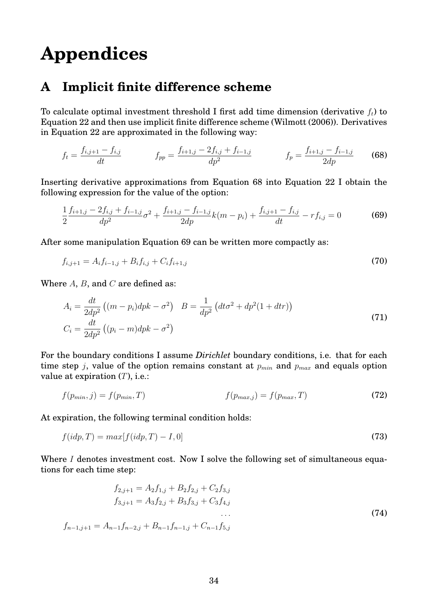# **Appendices**

# **A Implicit finite difference scheme**

To calculate optimal investment threshold I first add time dimension (derivative  $f_t$ ) to Equation [22](#page-14-2) and then use implicit finite difference scheme [\(Wilmott](#page-36-12) [\(2006\)](#page-36-12)). Derivatives in Equation [22](#page-14-2) are approximated in the following way:

<span id="page-33-0"></span>
$$
f_t = \frac{f_{i,j+1} - f_{i,j}}{dt}
$$
 
$$
f_{pp} = \frac{f_{i+1,j} - 2f_{i,j} + f_{i-1,j}}{dp^2}
$$
 
$$
f_p = \frac{f_{i+1,j} - f_{i-1,j}}{2dp}
$$
 (68)

Inserting derivative approximations from Equation [68](#page-33-0) into Equation [22](#page-14-2) I obtain the following expression for the value of the option:

<span id="page-33-1"></span>
$$
\frac{1}{2}\frac{f_{i+1,j} - 2f_{i,j} + f_{i-1,j}}{dp^2}\sigma^2 + \frac{f_{i+1,j} - f_{i-1,j}}{2dp}k(m - p_i) + \frac{f_{i,j+1} - f_{i,j}}{dt} - rf_{i,j} = 0
$$
\n(69)

After some manipulation Equation [69](#page-33-1) can be written more compactly as:

$$
f_{i,j+1} = A_i f_{i-1,j} + B_i f_{i,j} + C_i f_{i+1,j}
$$
\n(70)

Where  $A$ ,  $B$ , and  $C$  are defined as:

$$
A_i = \frac{dt}{2dp^2} ((m - p_i)dpk - \sigma^2) \quad B = \frac{1}{dp^2} (dt\sigma^2 + dp^2(1 + dtr))
$$
  
\n
$$
C_i = \frac{dt}{2dp^2} ((p_i - m)dpk - \sigma^2)
$$
\n(71)

For the boundary conditions I assume *Dirichlet* boundary conditions, i.e. that for each time step j, value of the option remains constant at  $p_{min}$  and  $p_{max}$  and equals option value at expiration  $(T)$ , i.e.:

$$
f(p_{min}, j) = f(p_{min}, T) \qquad f(p_{max,j}) = f(p_{max}, T) \tag{72}
$$

At expiration, the following terminal condition holds:

$$
f(idp, T) = max[f(idp, T) - I, 0]
$$
\n(73)

Where I denotes investment cost. Now I solve the following set of simultaneous equations for each time step:

<span id="page-33-2"></span>
$$
f_{2,j+1} = A_2 f_{1,j} + B_2 f_{2,j} + C_2 f_{3,j}
$$
  
\n
$$
f_{3,j+1} = A_3 f_{2,j} + B_3 f_{3,j} + C_3 f_{4,j}
$$
  
\n...  
\n
$$
f_{n-1,j+1} = A_{n-1} f_{n-2,j} + B_{n-1} f_{n-1,j} + C_{n-1} f_{5,j}
$$
\n(74)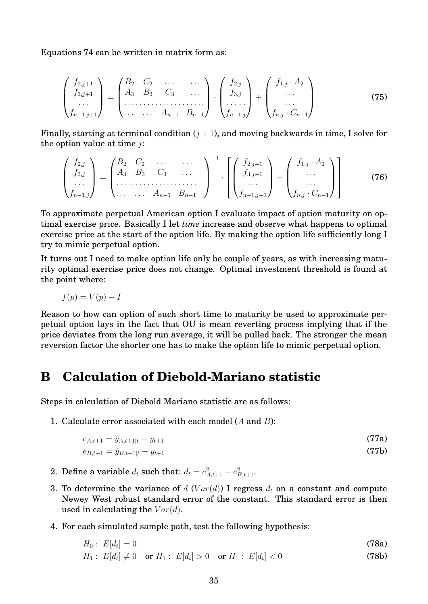Equations [74](#page-33-2) can be written in matrix form as:

$$
\begin{pmatrix} f_{2,j+1} \\ f_{3,j+1} \\ \cdots \\ f_{n-1,j+1} \end{pmatrix} = \begin{pmatrix} B_2 & C_2 & \cdots & \cdots \\ A_3 & B_3 & C_3 & \cdots \\ \cdots & \cdots & A_{n-1} & B_{n-1} \end{pmatrix} \cdot \begin{pmatrix} f_{2,j} \\ f_{3,j} \\ \cdots \\ f_{n-1,j} \end{pmatrix} + \begin{pmatrix} f_{1,j} \cdot A_2 \\ \cdots \\ f_{n,j} \cdot C_{n-1} \end{pmatrix}
$$
(75)

Finally, starting at terminal condition  $(j + 1)$ , and moving backwards in time, I solve for the option value at time  $i$ :

$$
\begin{pmatrix} f_{2,j} \\ f_{3,j} \\ \cdots \\ f_{n-1,j} \end{pmatrix} = \begin{pmatrix} B_2 & C_2 & \cdots & \cdots \\ A_3 & B_3 & C_3 & \cdots \\ \cdots & \cdots & \cdots & \cdots \\ \cdots & \cdots & A_{n-1} & B_{n-1} \end{pmatrix}^{-1} \cdot \begin{bmatrix} f_{2,j+1} \\ f_{3,j+1} \\ \cdots \\ f_{n-1,j+1} \end{bmatrix} - \begin{pmatrix} f_{1,j} \cdot A_2 \\ \cdots \\ f_{n,j} \cdot C_{n-1} \end{pmatrix}
$$
(76)

To approximate perpetual American option I evaluate impact of option maturity on optimal exercise price. Basically I let *time* increase and observe what happens to optimal exercise price at the start of the option life. By making the option life sufficiently long I try to mimic perpetual option.

It turns out I need to make option life only be couple of years, as with increasing maturity optimal exercise price does not change. Optimal investment threshold is found at the point where:

$$
f(p) = V(p) - I
$$

Reason to how can option of such short time to maturity be used to approximate perpetual option lays in the fact that OU is mean reverting process implying that if the price deviates from the long run average, it will be pulled back. The stronger the mean reversion factor the shorter one has to make the option life to mimic perpetual option.

# **B Calculation of Diebold-Mariano statistic**

Steps in calculation of Diebold Mariano statistic are as follows:

1. Calculate error associated with each model (A and B):

$$
e_{A,t+1} = \hat{y}_{A,t+1|t} - y_{t+1} \tag{77a}
$$

$$
e_{B,t+1} = \hat{y}_{B,t+1|t} - y_{t+1} \tag{77b}
$$

- 2. Define a variable  $d_t$  such that:  $d_t = e_{A,t+1}^2 e_{B,t+1}^2$ .
- 3. To determine the variance of d (Var(d)) I regress  $d_t$  on a constant and compute Newey West robust standard error of the constant. This standard error is then used in calculating the  $Var(d)$ .
- 4. For each simulated sample path, test the following hypothesis:

$$
H_0: E[d_t] = 0 \tag{78a}
$$

$$
H_1: E[d_t] \neq 0 \quad \text{or } H_1: E[d_t] > 0 \quad \text{or } H_1: E[d_t] < 0 \tag{78b}
$$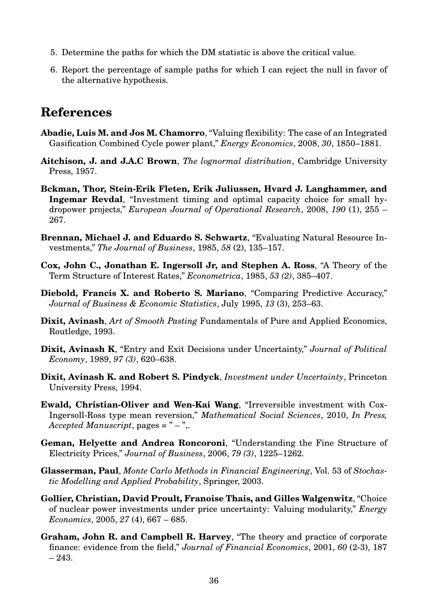- 5. Determine the paths for which the DM statistic is above the critical value.
- 6. Report the percentage of sample paths for which I can reject the null in favor of the alternative hypothesis.

# **References**

- <span id="page-35-4"></span>**Abadie, Luis M. and Jos M. Chamorro**, "Valuing flexibility: The case of an Integrated Gasification Combined Cycle power plant," *Energy Economics*, 2008, *30*, 1850–1881.
- <span id="page-35-11"></span>**Aitchison, J. and J.A.C Brown**, *The lognormal distribution*, Cambridge University Press, 1957.
- <span id="page-35-3"></span>**Bckman, Thor, Stein-Erik Fleten, Erik Juliussen, Hvard J. Langhammer, and Ingemar Revdal**, "Investment timing and optimal capacity choice for small hydropower projects," *European Journal of Operational Research*, 2008, *190* (1), 255 – 267.
- <span id="page-35-0"></span>**Brennan, Michael J. and Eduardo S. Schwartz**, "Evaluating Natural Resource Investments," *The Journal of Business*, 1985, *58* (2), 135–157.
- <span id="page-35-8"></span>**Cox, John C., Jonathan E. Ingersoll Jr, and Stephen A. Ross**, "A Theory of the Term Structure of Interest Rates," *Econometrica*, 1985, *53 (2)*, 385–407.
- <span id="page-35-13"></span>**Diebold, Francis X. and Roberto S. Mariano**, "Comparing Predictive Accuracy," *Journal of Business & Economic Statistics*, July 1995, *13* (3), 253–63.
- <span id="page-35-7"></span>**Dixit, Avinash**, *Art of Smooth Pasting* Fundamentals of Pure and Applied Economics, Routledge, 1993.
- <span id="page-35-1"></span>**Dixit, Avinash K**, "Entry and Exit Decisions under Uncertainty," *Journal of Political Economy*, 1989, *97 (3)*, 620–638.
- <span id="page-35-6"></span>**Dixit, Avinash K. and Robert S. Pindyck**, *Investment under Uncertainty*, Princeton University Press, 1994.
- <span id="page-35-10"></span>**Ewald, Christian-Oliver and Wen-Kai Wang**, "Irreversible investment with Cox-Ingersoll-Ross type mean reversion," *Mathematical Social Sciences*, 2010, *In Press, Accepted Manuscript*, pages = " – ",.
- <span id="page-35-12"></span>**Geman, Helyette and Andrea Roncoroni**, "Understanding the Fine Structure of Electricity Prices," *Journal of Business*, 2006, *79 (3)*, 1225–1262.
- <span id="page-35-9"></span>**Glasserman, Paul**, *Monte Carlo Methods in Financial Engineering*, Vol. 53 of *Stochastic Modelling and Applied Probability*, Springer, 2003.
- <span id="page-35-2"></span>**Gollier, Christian, David Proult, Franoise Thais, and Gilles Walgenwitz**, "Choice of nuclear power investments under price uncertainty: Valuing modularity," *Energy Economics*, 2005, *27* (4), 667 – 685.
- <span id="page-35-5"></span>**Graham, John R. and Campbell R. Harvey**, "The theory and practice of corporate finance: evidence from the field," *Journal of Financial Economics*, 2001, *60* (2-3), 187  $-243.$